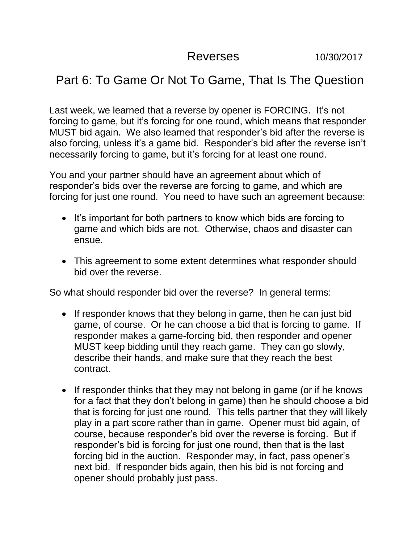Reverses 10/30/2017

## Part 6: To Game Or Not To Game, That Is The Question

Last week, we learned that a reverse by opener is FORCING. It's not forcing to game, but it's forcing for one round, which means that responder MUST bid again. We also learned that responder's bid after the reverse is also forcing, unless it's a game bid. Responder's bid after the reverse isn't necessarily forcing to game, but it's forcing for at least one round.

You and your partner should have an agreement about which of responder's bids over the reverse are forcing to game, and which are forcing for just one round. You need to have such an agreement because:

- It's important for both partners to know which bids are forcing to game and which bids are not. Otherwise, chaos and disaster can ensue.
- This agreement to some extent determines what responder should bid over the reverse.

So what should responder bid over the reverse? In general terms:

- If responder knows that they belong in game, then he can just bid game, of course. Or he can choose a bid that is forcing to game. If responder makes a game-forcing bid, then responder and opener MUST keep bidding until they reach game. They can go slowly, describe their hands, and make sure that they reach the best contract.
- If responder thinks that they may not belong in game (or if he knows for a fact that they don't belong in game) then he should choose a bid that is forcing for just one round. This tells partner that they will likely play in a part score rather than in game. Opener must bid again, of course, because responder's bid over the reverse is forcing. But if responder's bid is forcing for just one round, then that is the last forcing bid in the auction. Responder may, in fact, pass opener's next bid. If responder bids again, then his bid is not forcing and opener should probably just pass.